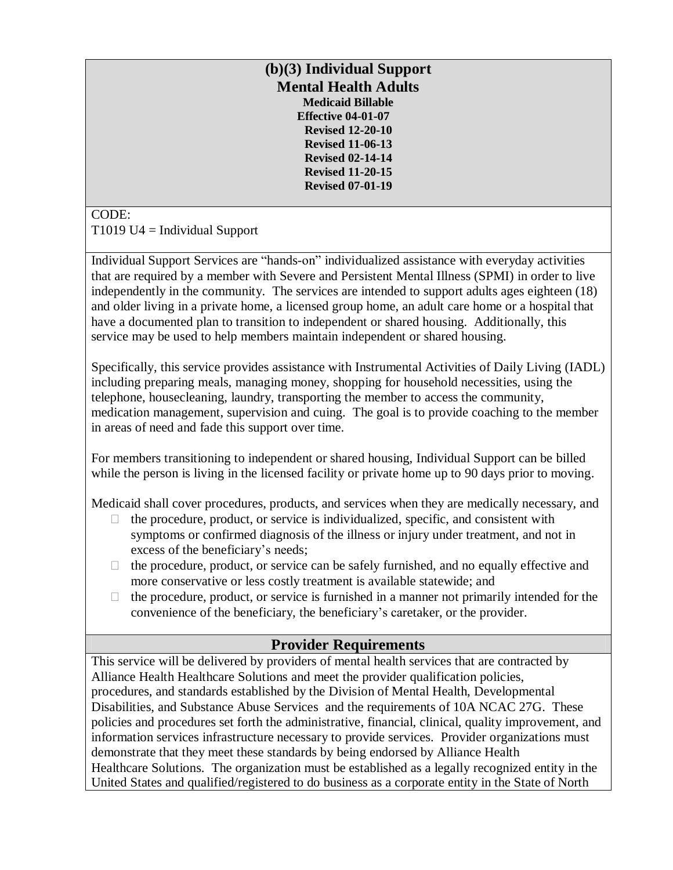#### **(b)(3) Individual Support Mental Health Adults Medicaid Billable Effective 04-01-07 Revised 12-20-10 Revised 11-06-13 Revised 02-14-14 Revised 11-20-15 Revised 07-01-19**

#### CODE:  $T1019$  U4 = Individual Support

Individual Support Services are "hands-on" individualized assistance with everyday activities that are required by a member with Severe and Persistent Mental Illness (SPMI) in order to live independently in the community. The services are intended to support adults ages eighteen (18) and older living in a private home, a licensed group home, an adult care home or a hospital that have a documented plan to transition to independent or shared housing. Additionally, this service may be used to help members maintain independent or shared housing.

Specifically, this service provides assistance with Instrumental Activities of Daily Living (IADL) including preparing meals, managing money, shopping for household necessities, using the telephone, housecleaning, laundry, transporting the member to access the community, medication management, supervision and cuing. The goal is to provide coaching to the member in areas of need and fade this support over time.

For members transitioning to independent or shared housing, Individual Support can be billed while the person is living in the licensed facility or private home up to 90 days prior to moving.

Medicaid shall cover procedures, products, and services when they are medically necessary, and

- $\Box$  the procedure, product, or service is individualized, specific, and consistent with symptoms or confirmed diagnosis of the illness or injury under treatment, and not in excess of the beneficiary's needs;
- $\Box$  the procedure, product, or service can be safely furnished, and no equally effective and more conservative or less costly treatment is available statewide; and
- $\Box$  the procedure, product, or service is furnished in a manner not primarily intended for the convenience of the beneficiary, the beneficiary's caretaker, or the provider.

# **Provider Requirements**

This service will be delivered by providers of mental health services that are contracted by Alliance Health Healthcare Solutions and meet the provider qualification policies, procedures, and standards established by the Division of Mental Health, Developmental Disabilities, and Substance Abuse Services and the requirements of 10A NCAC 27G. These policies and procedures set forth the administrative, financial, clinical, quality improvement, and information services infrastructure necessary to provide services. Provider organizations must demonstrate that they meet these standards by being endorsed by Alliance Health Healthcare Solutions. The organization must be established as a legally recognized entity in the United States and qualified/registered to do business as a corporate entity in the State of North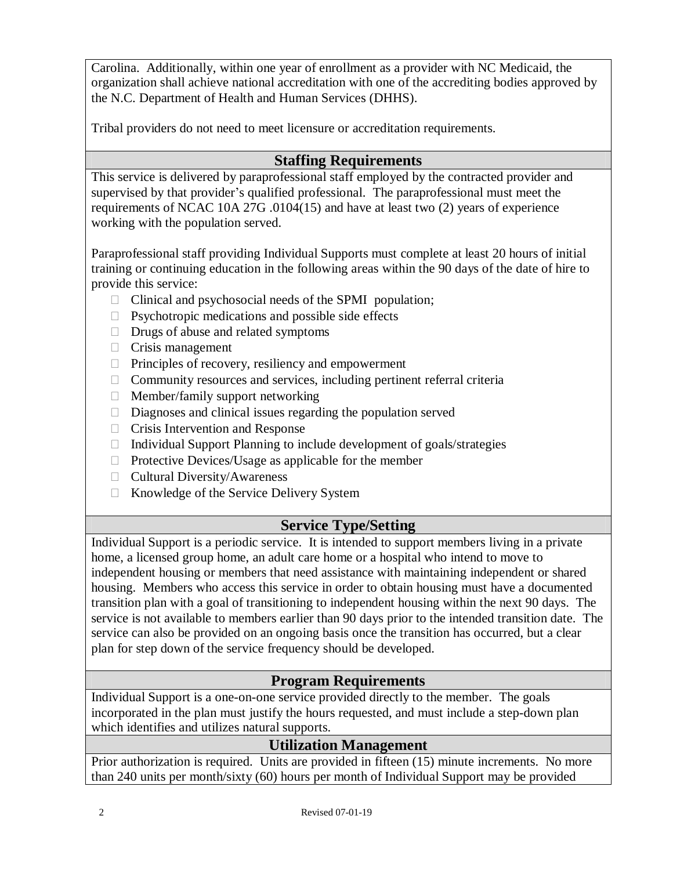Carolina. Additionally, within one year of enrollment as a provider with NC Medicaid, the organization shall achieve national accreditation with one of the accrediting bodies approved by the N.C. Department of Health and Human Services (DHHS).

Tribal providers do not need to meet licensure or accreditation requirements.

#### **Staffing Requirements**

This service is delivered by paraprofessional staff employed by the contracted provider and supervised by that provider's qualified professional. The paraprofessional must meet the requirements of NCAC 10A 27G .0104(15) and have at least two (2) years of experience working with the population served.

Paraprofessional staff providing Individual Supports must complete at least 20 hours of initial training or continuing education in the following areas within the 90 days of the date of hire to provide this service:

- $\Box$  Clinical and psychosocial needs of the SPMI population;
- $\Box$  Psychotropic medications and possible side effects
- $\Box$  Drugs of abuse and related symptoms
- $\Box$  Crisis management
- $\Box$  Principles of recovery, resiliency and empowerment
- $\Box$  Community resources and services, including pertinent referral criteria
- $\Box$  Member/family support networking
- $\Box$  Diagnoses and clinical issues regarding the population served
- Crisis Intervention and Response
- $\Box$  Individual Support Planning to include development of goals/strategies
- $\Box$  Protective Devices/Usage as applicable for the member
- □ Cultural Diversity/Awareness
- $\Box$  Knowledge of the Service Delivery System

# **Service Type/Setting**

Individual Support is a periodic service. It is intended to support members living in a private home, a licensed group home, an adult care home or a hospital who intend to move to independent housing or members that need assistance with maintaining independent or shared housing. Members who access this service in order to obtain housing must have a documented transition plan with a goal of transitioning to independent housing within the next 90 days. The service is not available to members earlier than 90 days prior to the intended transition date. The service can also be provided on an ongoing basis once the transition has occurred, but a clear plan for step down of the service frequency should be developed.

# **Program Requirements**

Individual Support is a one-on-one service provided directly to the member. The goals incorporated in the plan must justify the hours requested, and must include a step-down plan which identifies and utilizes natural supports.

# **Utilization Management**

Prior authorization is required. Units are provided in fifteen (15) minute increments. No more than 240 units per month/sixty (60) hours per month of Individual Support may be provided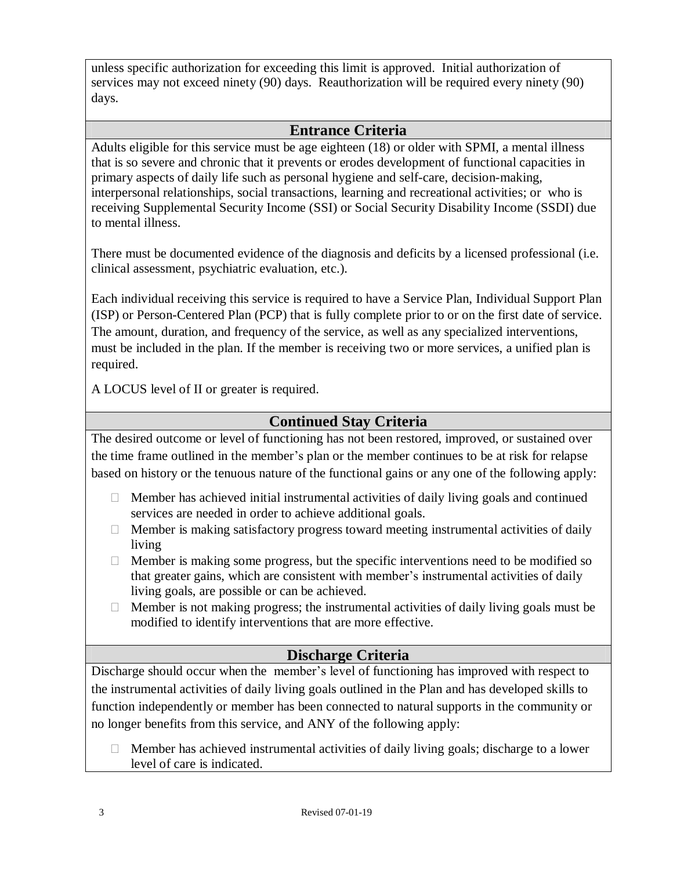unless specific authorization for exceeding this limit is approved. Initial authorization of services may not exceed ninety (90) days. Reauthorization will be required every ninety (90) days.

#### **Entrance Criteria**

Adults eligible for this service must be age eighteen (18) or older with SPMI, a mental illness that is so severe and chronic that it prevents or erodes development of functional capacities in primary aspects of daily life such as personal hygiene and self-care, decision-making, interpersonal relationships, social transactions, learning and recreational activities; or who is receiving Supplemental Security Income (SSI) or Social Security Disability Income (SSDI) due to mental illness.

There must be documented evidence of the diagnosis and deficits by a licensed professional (i.e. clinical assessment, psychiatric evaluation, etc.).

Each individual receiving this service is required to have a Service Plan, Individual Support Plan (ISP) or Person-Centered Plan (PCP) that is fully complete prior to or on the first date of service. The amount, duration, and frequency of the service, as well as any specialized interventions, must be included in the plan. If the member is receiving two or more services, a unified plan is required.

A LOCUS level of II or greater is required.

#### **Continued Stay Criteria**

the time frame outlined in the member's plan or the member continues to be at risk for relapse based on history or the tenuous nature of the functional gains or any one of the following apply: The desired outcome or level of functioning has not been restored, improved, or sustained over

- $\Box$  Member has achieved initial instrumental activities of daily living goals and continued services are needed in order to achieve additional goals.
- $\Box$  Member is making satisfactory progress toward meeting instrumental activities of daily living
- $\Box$  Member is making some progress, but the specific interventions need to be modified so that greater gains, which are consistent with member's instrumental activities of daily living goals, are possible or can be achieved.
- $\Box$  Member is not making progress; the instrumental activities of daily living goals must be modified to identify interventions that are more effective.

# **Discharge Criteria**

the instrumental activities of daily living goals outlined in the Plan and has developed skills to function independently or member has been connected to natural supports in the community or no longer benefits from this service, and ANY of the following apply: Discharge should occur when the member's level of functioning has improved with respect to

 $\Box$  Member has achieved instrumental activities of daily living goals; discharge to a lower level of care is indicated.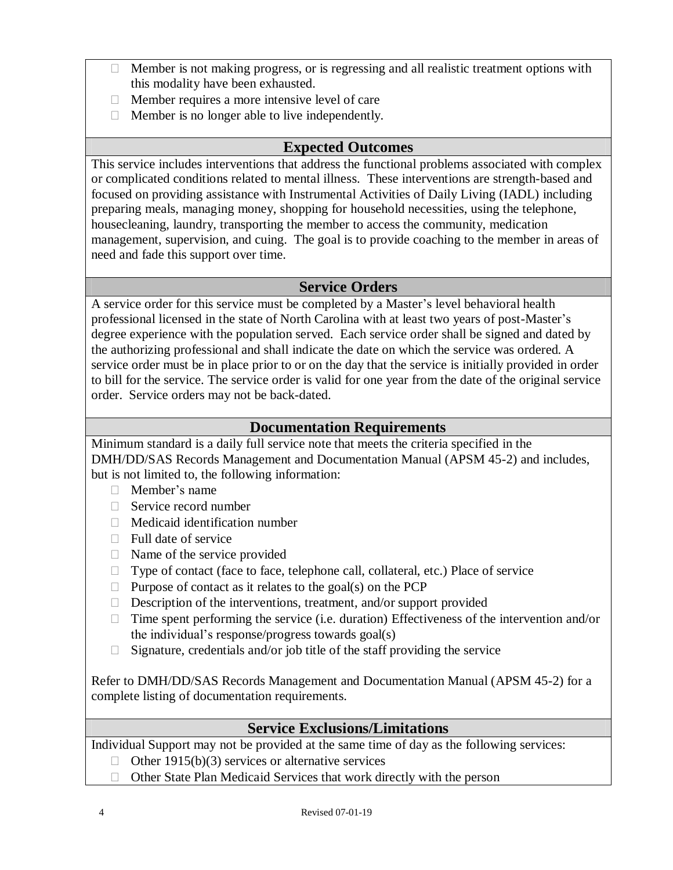- $\Box$  Member is not making progress, or is regressing and all realistic treatment options with this modality have been exhausted.
- $\Box$  Member requires a more intensive level of care
- $\Box$  Member is no longer able to live independently.

#### **Expected Outcomes**

This service includes interventions that address the functional problems associated with complex or complicated conditions related to mental illness. These interventions are strength-based and focused on providing assistance with Instrumental Activities of Daily Living (IADL) including preparing meals, managing money, shopping for household necessities, using the telephone, housecleaning, laundry, transporting the member to access the community, medication management, supervision, and cuing. The goal is to provide coaching to the member in areas of need and fade this support over time.

#### **Service Orders**

A service order for this service must be completed by a Master's level behavioral health professional licensed in the state of North Carolina with at least two years of post-Master's degree experience with the population served. Each service order shall be signed and dated by the authorizing professional and shall indicate the date on which the service was ordered. A service order must be in place prior to or on the day that the service is initially provided in order to bill for the service. The service order is valid for one year from the date of the original service order. Service orders may not be back-dated.

#### **Documentation Requirements**

Minimum standard is a daily full service note that meets the criteria specified in the DMH/DD/SAS Records Management and Documentation Manual (APSM 45-2) and includes, but is not limited to, the following information:

- Member's name
- $\Box$  Service record number
- $\Box$  Medicaid identification number
- $\Box$  Full date of service
- $\Box$  Name of the service provided
- $\Box$  Type of contact (face to face, telephone call, collateral, etc.) Place of service
- $\Box$  Purpose of contact as it relates to the goal(s) on the PCP
- $\Box$  Description of the interventions, treatment, and/or support provided
- $\Box$  Time spent performing the service (i.e. duration) Effectiveness of the intervention and/or the individual's response/progress towards goal(s)
- $\Box$  Signature, credentials and/or job title of the staff providing the service

Refer to DMH/DD/SAS Records Management and Documentation Manual (APSM 45-2) for a complete listing of documentation requirements.

# **Service Exclusions/Limitations**

Individual Support may not be provided at the same time of day as the following services:

- $\Box$  Other 1915(b)(3) services or alternative services
- $\Box$  Other State Plan Medicaid Services that work directly with the person